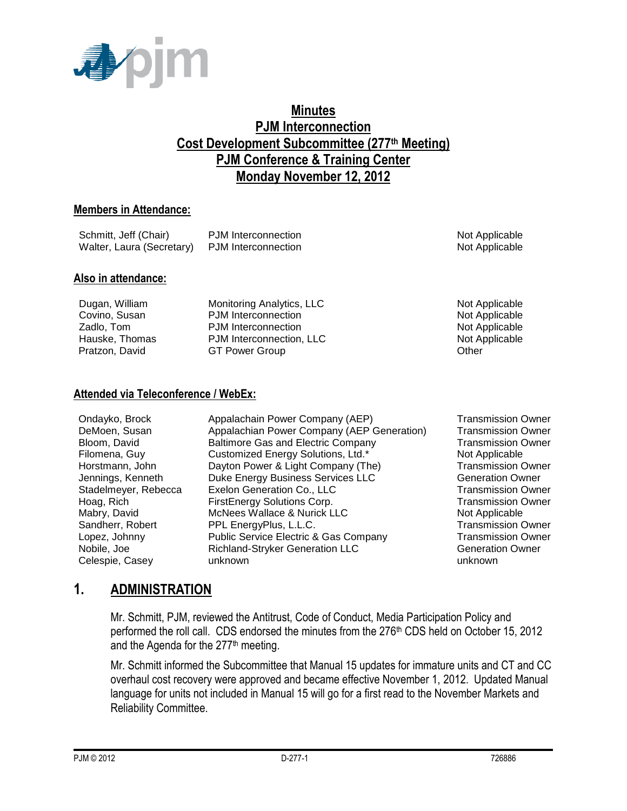

## **Minutes PJM Interconnection Cost Development Subcommittee (277th Meeting) PJM Conference & Training Center Monday November 12, 2012**

#### **Members in Attendance:**

| Schmitt, Jeff (Chair)                         | PJM Interconnection | Not Applicable |
|-----------------------------------------------|---------------------|----------------|
| Walter, Laura (Secretary) PJM Interconnection |                     | Not Applicable |

#### **Also in attendance:**

| Dugan, William | Monitoring Analytics, LLC | Not Applicable |
|----------------|---------------------------|----------------|
| Covino, Susan  | PJM Interconnection       | Not Applicable |
| Zadlo, Tom     | PJM Interconnection       | Not Applicable |
| Hauske, Thomas | PJM Interconnection, LLC  | Not Applicable |
| Pratzon, David | <b>GT Power Group</b>     | Other          |
|                |                           |                |

#### **Attended via Teleconference / WebEx:**

| Ondayko, Brock       | Appalachain Power Company (AEP)            | <b>Transmission Owner</b> |
|----------------------|--------------------------------------------|---------------------------|
| DeMoen, Susan        | Appalachian Power Company (AEP Generation) | <b>Transmission Owner</b> |
|                      |                                            |                           |
| Bloom, David         | <b>Baltimore Gas and Electric Company</b>  | <b>Transmission Owner</b> |
| Filomena, Guy        | Customized Energy Solutions, Ltd.*         | Not Applicable            |
| Horstmann, John      | Dayton Power & Light Company (The)         | <b>Transmission Owner</b> |
| Jennings, Kenneth    | Duke Energy Business Services LLC          | <b>Generation Owner</b>   |
| Stadelmeyer, Rebecca | Exelon Generation Co., LLC                 | <b>Transmission Owner</b> |
| Hoag, Rich           | FirstEnergy Solutions Corp.                | <b>Transmission Owner</b> |
| Mabry, David         | McNees Wallace & Nurick LLC                | Not Applicable            |
| Sandherr, Robert     | PPL EnergyPlus, L.L.C.                     | <b>Transmission Owner</b> |
| Lopez, Johnny        | Public Service Electric & Gas Company      | <b>Transmission Owner</b> |
| Nobile, Joe          | Richland-Stryker Generation LLC            | <b>Generation Owner</b>   |
| Celespie, Casey      | unknown                                    | unknown                   |

# **1. ADMINISTRATION**

Mr. Schmitt, PJM, reviewed the Antitrust, Code of Conduct, Media Participation Policy and performed the roll call. CDS endorsed the minutes from the 276<sup>th</sup> CDS held on October 15, 2012 and the Agenda for the  $277<sup>th</sup>$  meeting.

Mr. Schmitt informed the Subcommittee that Manual 15 updates for immature units and CT and CC overhaul cost recovery were approved and became effective November 1, 2012. Updated Manual language for units not included in Manual 15 will go for a first read to the November Markets and Reliability Committee.